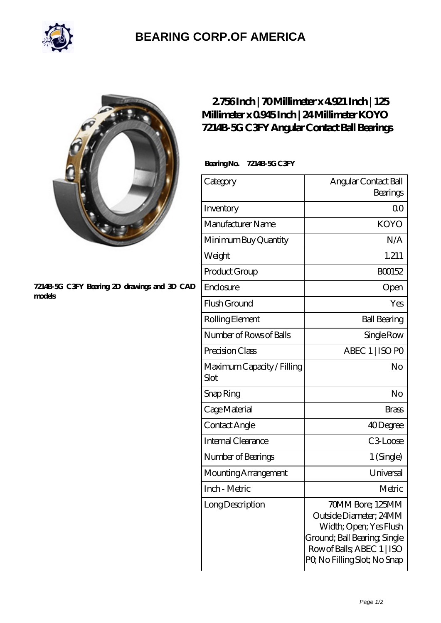

## **[BEARING CORP.OF AMERICA](https://bluemondayreview.com)**



## **[7214B-5G C3FY Bearing 2D drawings and 3D CAD](https://bluemondayreview.com/pic-172686.html) [models](https://bluemondayreview.com/pic-172686.html)**

## **[2.756 Inch | 70 Millimeter x 4.921 Inch | 125](https://bluemondayreview.com/at-172686-koyo-7214b-5g-c3fy-angular-contact-ball-bearings.html) [Millimeter x 0.945 Inch | 24 Millimeter KOYO](https://bluemondayreview.com/at-172686-koyo-7214b-5g-c3fy-angular-contact-ball-bearings.html) [7214B-5G C3FY Angular Contact Ball Bearings](https://bluemondayreview.com/at-172686-koyo-7214b-5g-c3fy-angular-contact-ball-bearings.html)**

 **Bearing No. 7214B-5G C3FY**

| Category                           | Angular Contact Ball<br>Bearings                                                                                                                                  |
|------------------------------------|-------------------------------------------------------------------------------------------------------------------------------------------------------------------|
| Inventory                          | 0 <sup>0</sup>                                                                                                                                                    |
| Manufacturer Name                  | <b>KOYO</b>                                                                                                                                                       |
| Minimum Buy Quantity               | N/A                                                                                                                                                               |
| Weight                             | 1.211                                                                                                                                                             |
| Product Group                      | BO0152                                                                                                                                                            |
| Enclosure                          | Open                                                                                                                                                              |
| Flush Ground                       | Yes                                                                                                                                                               |
| Rolling Element                    | <b>Ball Bearing</b>                                                                                                                                               |
| Number of Rows of Balls            | Single Row                                                                                                                                                        |
| Precision Class                    | ABEC 1   ISO PO                                                                                                                                                   |
| Maximum Capacity / Filling<br>Slot | No                                                                                                                                                                |
| Snap Ring                          | No                                                                                                                                                                |
| Cage Material                      | <b>Brass</b>                                                                                                                                                      |
| Contact Angle                      | 40Degree                                                                                                                                                          |
| <b>Internal Clearance</b>          | C3Loose                                                                                                                                                           |
| Number of Bearings                 | 1 (Single)                                                                                                                                                        |
| Mounting Arrangement               | Universal                                                                                                                                                         |
| Inch - Metric                      | Metric                                                                                                                                                            |
| Long Description                   | 70MM Bore; 125MM<br>Outside Diameter; 24MM<br>Width; Open; Yes Flush<br>Ground; Ball Bearing; Single<br>Row of Balls, ABEC 1   ISO<br>PQ No Filling Slot; No Snap |